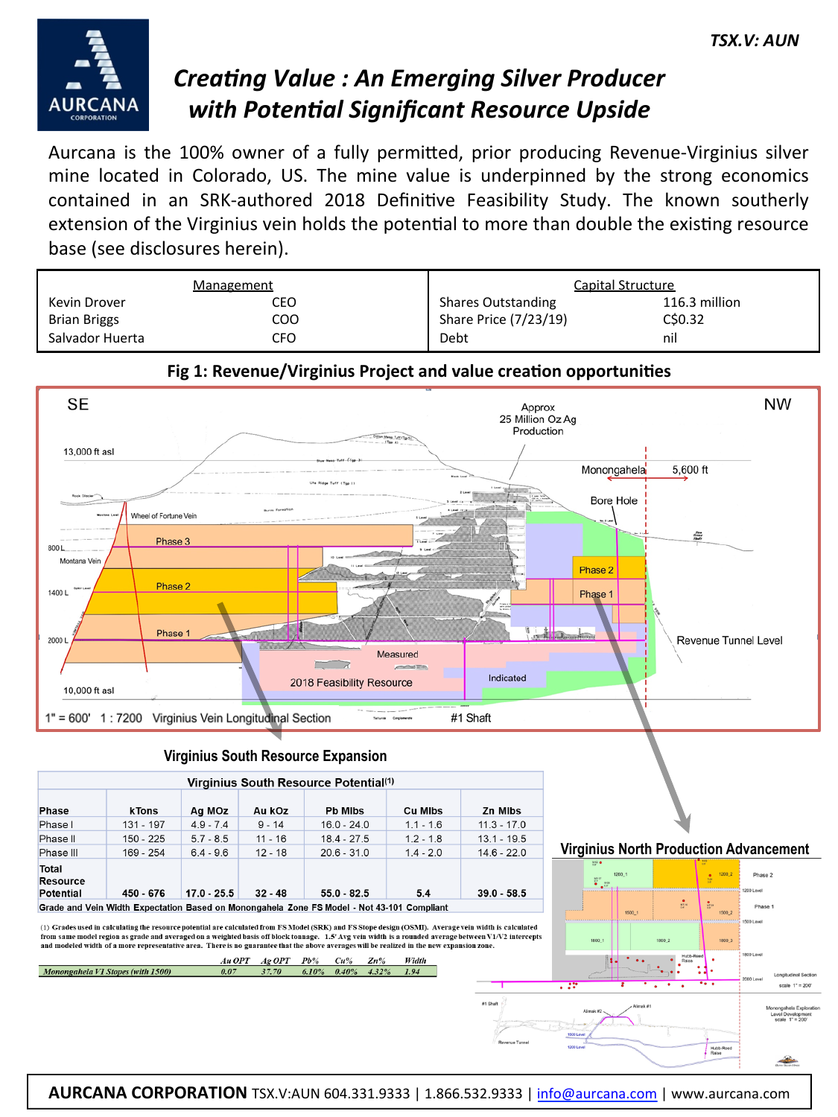

# *Creating Value : An Emerging Silver Producer* **with Potential Significant Resource Upside**

Aurcana is the 100% owner of a fully permitted, prior producing Revenue-Virginius silver mine located in Colorado, US. The mine value is underpinned by the strong economics contained in an SRK-authored 2018 Definitive Feasibility Study. The known southerly extension of the Virginius vein holds the potential to more than double the existing resource base (see disclosures herein).

|                     | <b>Management</b> |                           | Capital Structure |
|---------------------|-------------------|---------------------------|-------------------|
| Kevin Drover        | CEO               | <b>Shares Outstanding</b> | 116.3 million     |
| <b>Brian Briggs</b> | coo               | Share Price (7/23/19)     | C\$0.32           |
| Salvador Huerta     | CFO               | Debt                      | nil               |





### **Virginius South Resource Expansion**

| Virginius South Resource Potential(1)        |           |               |           |                |                |               |
|----------------------------------------------|-----------|---------------|-----------|----------------|----------------|---------------|
| <b>Phase</b>                                 | k Tons    | Ag MOz        | Au kOz    | <b>Pb Mibs</b> | <b>Cu MIbs</b> | Zn Mibs       |
| Phase I                                      | 131 - 197 | $4.9 - 7.4$   | $9 - 14$  | $16.0 - 24.0$  | $1.1 - 1.6$    | $11.3 - 17.0$ |
| Phase II                                     | 150 - 225 | $5.7 - 8.5$   | $11 - 16$ | $18.4 - 27.5$  | $1.2 - 1.8$    | $13.1 - 19.5$ |
| Phase III                                    | 169 - 254 | $6.4 - 9.6$   | $12 - 18$ | $20.6 - 31.0$  | $1.4 - 2.0$    | $14.6 - 22.0$ |
| Total<br><b>Resource</b><br><b>Potential</b> | 450 - 676 | $17.0 - 25.5$ | $32 - 48$ | $55.0 - 82.5$  | 5.4            | $39.0 - 58.5$ |
|                                              |           |               |           |                |                |               |

Grade and Vein Width Expectation Based on Monongahela Zone FS Model - Not 43-101 Compliant

Au OPT

Monongahela V1 Stopes (with 1500)

(1) Grades used in calculating the resource potential are calculated from FS Model (SRK) and FS Stope design (OSMI). Average vein width is calculated from same model region as grade and averaged on a weighted basis off block tonnage. 1.5' Avg vein width is a rounded average between V1/V2 intercepts and modeled width of a more representative area. There is no guarantee that the above averages will be realized in the new exp

37.70



Ξy

**Virginius North Production Advancement** 

#### **AURCANA CORPORATION** TSX.V:AUN 604.331.9333 | 1.866.532.9333 | info@aurcana.com | www.aurcana.com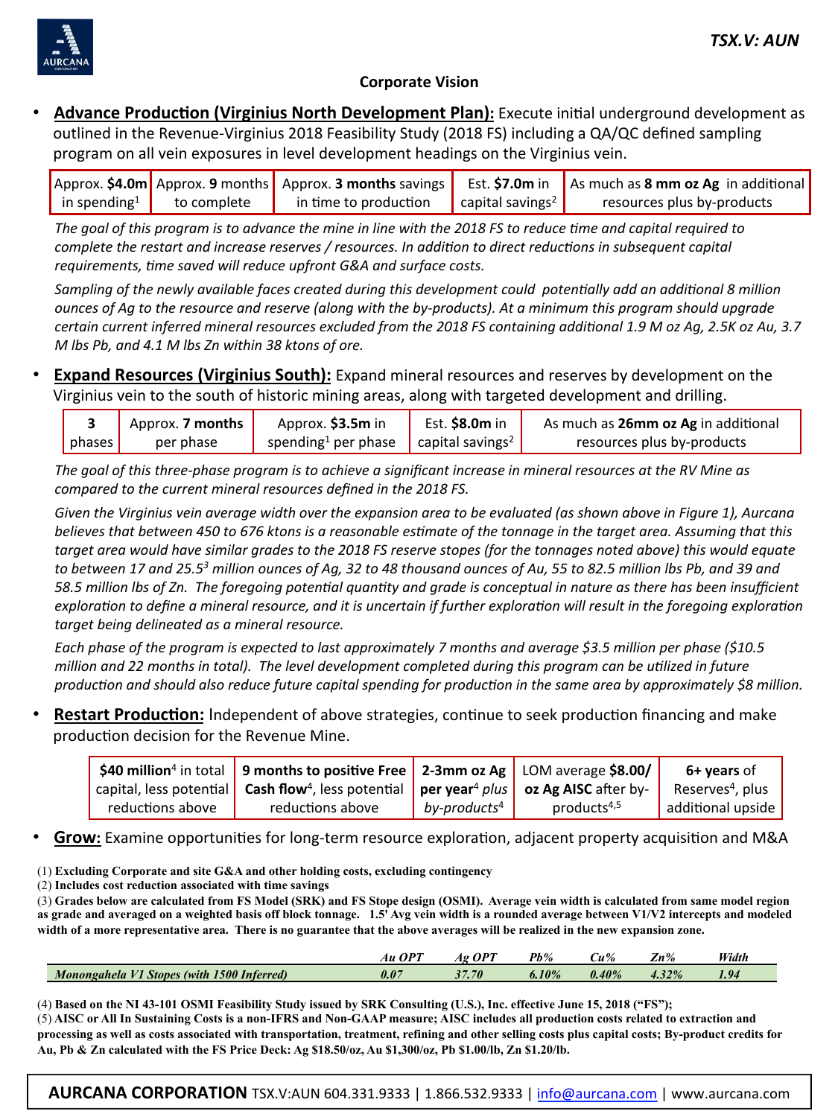

#### **Corporate Vision**

Advance Production (Virginius North Development Plan): Execute initial underground development as outlined in the Revenue-Virginius 2018 Feasibility Study (2018 FS) including a QA/QC defined sampling program on all vein exposures in level development headings on the Virginius vein.

|                          |             | Approx. \$4.0m Approx. 9 months Approx. 3 months savings |                                     | Est. \$7.0 $m$ in As much as 8 $mm$ oz Ag in additional |
|--------------------------|-------------|----------------------------------------------------------|-------------------------------------|---------------------------------------------------------|
| in spending <sup>1</sup> | to complete | in time to production                                    | $\int$ capital savings <sup>2</sup> | resources plus by-products                              |

The goal of this program is to advance the mine in line with the 2018 FS to reduce time and capital required to *complete the restart and increase reserves* / resources. In addition to direct reductions in subsequent capital requirements, time saved will reduce upfront G&A and surface costs.

*Sampling* of the newly available faces created during this development could potentially add an additional 8 million *ounces* of Ag to the resource and reserve (along with the by-products). At a minimum this program should upgrade *certain current inferred mineral resources excluded from the 2018 FS containing additional 1.9 M oz Ag, 2.5K oz Au, 3.7 M* lbs Pb, and 4.1 M lbs Zn within 38 ktons of ore.

**Expand Resources (Virginius South):** Expand mineral resources and reserves by development on the Virginius vein to the south of historic mining areas, along with targeted development and drilling.

|                | Approx. 7 months | Approx. \$3.5m in                                                             | Est. <b>\$8.0m</b> in | As much as 26mm oz Ag in additional |
|----------------|------------------|-------------------------------------------------------------------------------|-----------------------|-------------------------------------|
| $ $ phases $ $ | per phase        | spending <sup>1</sup> per phase $\left  \right $ capital savings <sup>2</sup> |                       | resources plus by-products          |

The goal of this three-phase program is to achieve a significant increase in mineral resources at the RV Mine as compared to the current mineral resources defined in the 2018 FS.

Given the Virginius vein average width over the expansion area to be evaluated (as shown above in Figure 1), Aurcana *believes* that between 450 to 676 ktons is a reasonable estimate of the tonnage in the target area. Assuming that this target area would have similar grades to the 2018 FS reserve stopes (for the tonnages noted above) this would equate to between 17 and 25.5<sup>3</sup> million ounces of Ag, 32 to 48 thousand ounces of Au, 55 to 82.5 million lbs Pb, and 39 and *58.5* million lbs of Zn. The foregoing potential quantity and grade is conceptual in nature as there has been insufficient *exploration to define a mineral resource, and it is uncertain if further exploration will result in the foregoing exploration target being delineated as a mineral resource.* 

*Each* phase of the program is expected to last approximately 7 months and average \$3.5 million per phase (\$10.5 *million* and 22 months in total). The level development completed during this program can be utilized in future production and should also reduce future capital spending for production in the same area by approximately \$8 million.

**Restart Production:** Independent of above strategies, continue to seek production financing and make production decision for the Revenue Mine.

|                  | \$40 million <sup>4</sup> in total   9 months to positive Free   2-3mm oz Ag   LOM average \$8.00/              |                          |                         | 6+ vears of                  |
|------------------|-----------------------------------------------------------------------------------------------------------------|--------------------------|-------------------------|------------------------------|
|                  | capital, less potential cash flow <sup>4</sup> , less potential per year <sup>4</sup> plus oz Ag AISC after by- |                          |                         | Reserves <sup>4</sup> , plus |
| reductions above | reductions above                                                                                                | by-products <sup>4</sup> | products <sup>4,5</sup> | additional upside            |

Grow: Examine opportunities for long-term resource exploration, adjacent property acquisition and M&A

(1) **Excluding Corporate and site G&A and other holding costs, excluding contingency** 

(2) **Includes cost reduction associated with time savings** 

(3) **Grades below are calculated from FS Model (SRK) and FS Stope design (OSMI). Average vein width is calculated from same model region as grade and averaged on a weighted basis off block tonnage. 1.5' Avg vein width is a rounded average between V1/V2 intercepts and modeled width of a more representative area. There is no guarantee that the above averages will be realized in the new expansion zone.** 

|                                                             | $\alpha$ dt<br>AИ | $OP^{\tau}$<br>AΩ | Pb%   | u%       | $\mathbf{Zn\%}$ | Width |
|-------------------------------------------------------------|-------------------|-------------------|-------|----------|-----------------|-------|
| 1500 Inferred)<br><b>Monongahela</b><br><b>Stopes (with</b> | 0.07              | 37.70             | 6.10% | $0.40\%$ | 4.32%           | 1.94  |

(4) **Based on the NI 43-101 OSMI Feasibility Study issued by SRK Consulting (U.S.), Inc. effective June 15, 2018 ("FS");**  (5) **AISC or All In Sustaining Costs is a non-IFRS and Non-GAAP measure; AISC includes all production costs related to extraction and processing as well as costs associated with transportation, treatment, refining and other selling costs plus capital costs; By-product credits for Au, Pb & Zn calculated with the FS Price Deck: Ag \$18.50/oz, Au \$1,300/oz, Pb \$1.00/lb, Zn \$1.20/lb.** 

**AURCANA CORPORATION** TSX.V:AUN 604.331.9333 | 1.866.532.9333 | info@aurcana.com | www.aurcana.com